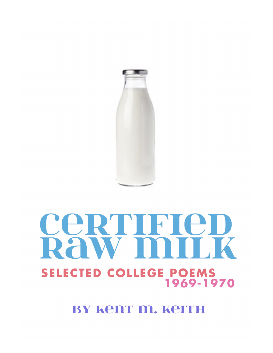

# cerririen **DAWT NITIK SELECTED COLLEGE POEMS** 1969-1970

BY Kent m. Keith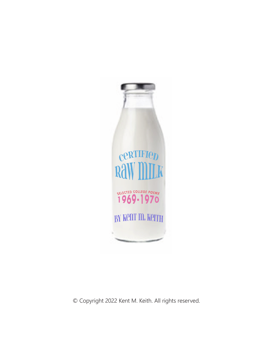

© Copyright 2022 Kent M. Keith. All rights reserved.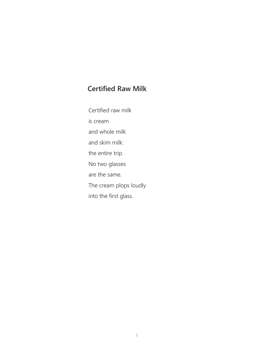# **Certified Raw Milk**

Certified raw milk is cream and whole milk and skim milk: the entire trip. No two glasses are the same. The cream plops loudly into the first glass.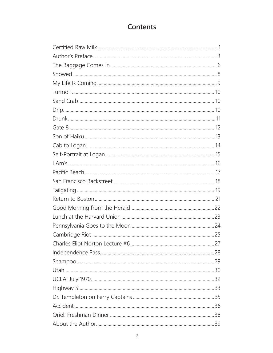# Contents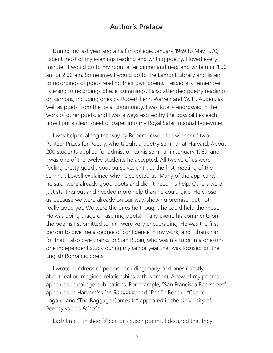#### **Author's Preface**

During my last year and a half in college, January 1969 to May 1970, I spent most of my evenings reading and writing poetry. I loved every minute! I would go to my room after dinner and read and write until 1:00 am or 2:00 am. Sometimes I would go to the Lamont Library and listen to recordings of poets reading their own poems. I especially remember listening to recordings of e. e. cummings. I also attended poetry readings on campus, including ones by Robert Penn Warren and W. H. Auden, as well as poets from the local community. I was totally engrossed in the work of other poets, and I was always excited by the possibilities each time I put a clean sheet of paper into my Royal Safari manual typewriter.

I was helped along the way by Robert Lowell, the winner of two Pulitzer Prizes for Poetry, who taught a poetry seminar at Harvard. About 200 students applied for admission to his seminar in January 1969, and I was one of the twelve students he accepted. All twelve of us were feeling pretty good about ourselves until, at the first meeting of the seminar, Lowell explained why he selected us. Many of the applicants, he said, were already good poets and didn't need his help. Others were just starting out and needed more help than he could give. He chose us because we were already on our way, showing promise, but not really good yet. We were the ones he thought he could help the most. He was doing triage on aspiring poets! In any event, his comments on the poems I submitted to him were very encouraging. He was the first person to give me a degree of confidence in my work, and I thank him for that. I also owe thanks to Stan Rubin, who was my tutor in a one-onone independent study during my senior year that was focused on the English Romantic poets.

I wrote hundreds of poems, including many bad ones (mostly about real or imagined relationships with women). A few of my poems appeared in college publications. For example, "San Francisco Backstreet" appeared in Harvard's *Lion Rampant*, and "Pacific Beach," "Cab to Logan," and "The Baggage Comes In" appeared in the University of Pennsylvania's *Eclectic.*

Each time I finished fifteen or sixteen poems, I declared that they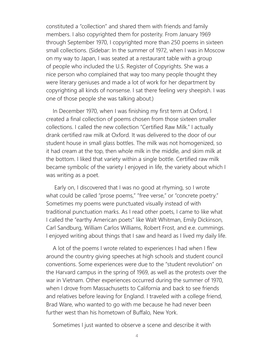constituted a "collection" and shared them with friends and family members. I also copyrighted them for posterity. From January 1969 through September 1970, I copyrighted more than 250 poems in sixteen small collections. (Sidebar: In the summer of 1972, when I was in Moscow on my way to Japan, I was seated at a restaurant table with a group of people who included the U.S. Register of Copyrights. She was a nice person who complained that way too many people thought they were literary geniuses and made a lot of work for her department by copyrighting all kinds of nonsense. I sat there feeling very sheepish. I was one of those people she was talking about.)

In December 1970, when I was finishing my first term at Oxford, I created a final collection of poems chosen from those sixteen smaller collections. I called the new collection "Certified Raw Milk." I actually drank certified raw milk at Oxford. It was delivered to the door of our student house in small glass bottles. The milk was not homogenized, so it had cream at the top, then whole milk in the middle, and skim milk at the bottom. I liked that variety within a single bottle. Certified raw milk became symbolic of the variety I enjoyed in life, the variety about which I was writing as a poet.

 Early on, I discovered that I was no good at rhyming, so I wrote what could be called "prose poems," "free verse," or "concrete poetry." Sometimes my poems were punctuated visually instead of with traditional punctuation marks. As I read other poets, I came to like what I called the "earthy American poets" like Walt Whitman, Emily Dickinson, Carl Sandburg, William Carlos Williams, Robert Frost, and e.e. cummings. I enjoyed writing about things that I saw and heard as I lived my daily life.

A lot of the poems I wrote related to experiences I had when I flew around the country giving speeches at high schools and student council conventions. Some experiences were due to the "student revolution" on the Harvard campus in the spring of 1969, as well as the protests over the war in Vietnam. Other experiences occurred during the summer of 1970, when I drove from Massachusetts to California and back to see friends and relatives before leaving for England. I traveled with a college friend, Brad Ware, who wanted to go with me because he had never been further west than his hometown of Buffalo, New York.

Sometimes I just wanted to observe a scene and describe it with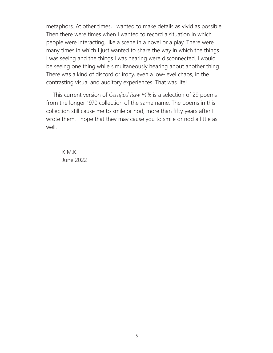metaphors. At other times, I wanted to make details as vivid as possible. Then there were times when I wanted to record a situation in which people were interacting, like a scene in a novel or a play. There were many times in which I just wanted to share the way in which the things I was seeing and the things I was hearing were disconnected. I would be seeing one thing while simultaneously hearing about another thing. There was a kind of discord or irony, even a low-level chaos, in the contrasting visual and auditory experiences. That was life!

This current version of *Certified Raw Milk* is a selection of 29 poems from the longer 1970 collection of the same name. The poems in this collection still cause me to smile or nod, more than fifty years after I wrote them. I hope that they may cause you to smile or nod a little as well.

K.M.K. June 2022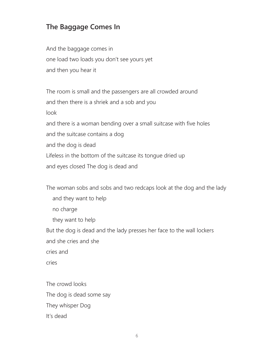# **The Baggage Comes In**

And the baggage comes in one load two loads you don't see yours yet and then you hear it

The room is small and the passengers are all crowded around and then there is a shriek and a sob and you look and there is a woman bending over a small suitcase with five holes and the suitcase contains a dog and the dog is dead Lifeless in the bottom of the suitcase its tongue dried up and eyes closed The dog is dead and

The woman sobs and sobs and two redcaps look at the dog and the lady and they want to help no charge they want to help But the dog is dead and the lady presses her face to the wall lockers and she cries and she cries and cries

The crowd looks The dog is dead some say They whisper Dog It's dead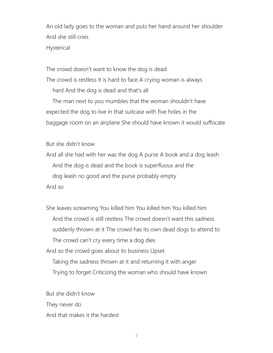An old lady goes to the woman and puts her hand around her shoulder And she still cries Hysterical

The crowd doesn't want to know the dog is dead The crowd is restless It is hard to face A crying woman is always hard And the dog is dead and that's all

 The man next to you mumbles that the woman shouldn't have expected the dog to live in that suitcase with five holes in the baggage room on an airplane She should have known it would suffocate

But she didn't know

And all she had with her was the dog A purse A book and a dog leash And the dog is dead and the book is superfluous and the dog leash no good and the purse probably empty And so

She leaves screaming You killed him You killed him You killed him And the crowd is still restless The crowd doesn't want this sadness suddenly thrown at it The crowd has its own dead dogs to attend to The crowd can't cry every time a dog dies And so the crowd goes about its business Upset Taking the sadness thrown at it and returning it with anger Trying to forget Criticizing the woman who should have known

But she didn't know They never do And that makes it the hardest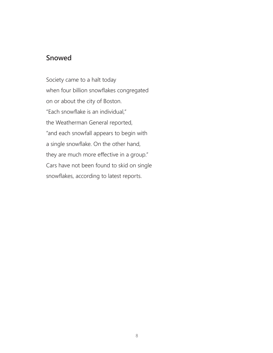# **Snowed**

Society came to a halt today when four billion snowflakes congregated on or about the city of Boston. "Each snowflake is an individual," the Weatherman General reported, "and each snowfall appears to begin with a single snowflake. On the other hand, they are much more effective in a group." Cars have not been found to skid on single snowflakes, according to latest reports.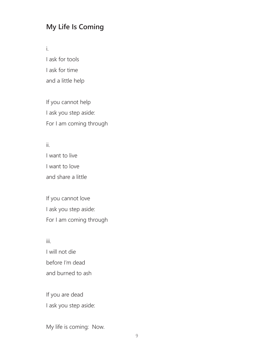# **My Life Is Coming**

i.

I ask for tools I ask for time and a little help

If you cannot help I ask you step aside: For I am coming through

ii. I want to live I want to love and share a little

If you cannot love I ask you step aside: For I am coming through

iii. I will not die before I'm dead and burned to ash

If you are dead I ask you step aside:

My life is coming: Now.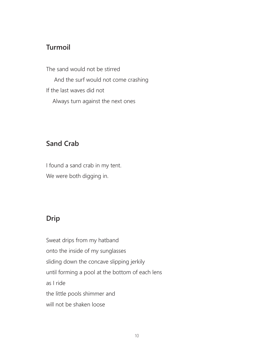#### **Turmoil**

The sand would not be stirred And the surf would not come crashing If the last waves did not Always turn against the next ones

# **Sand Crab**

I found a sand crab in my tent. We were both digging in.

# **Drip**

Sweat drips from my hatband onto the inside of my sunglasses sliding down the concave slipping jerkily until forming a pool at the bottom of each lens as I ride the little pools shimmer and will not be shaken loose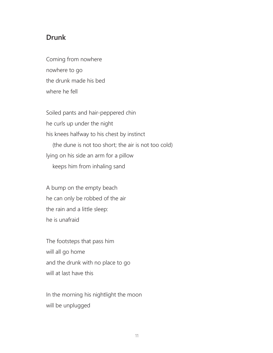#### **Drunk**

Coming from nowhere nowhere to go the drunk made his bed where he fell

Soiled pants and hair-peppered chin he curls up under the night his knees halfway to his chest by instinct (the dune is not too short; the air is not too cold) lying on his side an arm for a pillow keeps him from inhaling sand

A bump on the empty beach he can only be robbed of the air the rain and a little sleep: he is unafraid

The footsteps that pass him will all go home and the drunk with no place to go will at last have this

In the morning his nightlight the moon will be unplugged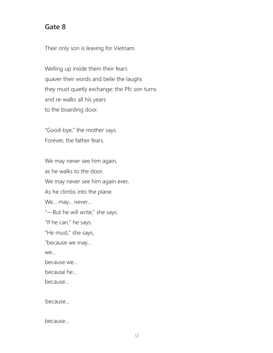#### **Gate 8**

Their only son is leaving for Vietnam.

Welling up inside them their fears quaver their words and belie the laughs they must quietly exchange: the Pfc son turns and re-walks all his years to the boarding door.

"Good-bye," the mother says. Forever, the father fears.

We may never see him again, as he walks to the door. We may never see him again ever, As he climbs into the plane. We… may… never… "—But he will write," she says. "If he can," he says. "He must," she says, "because we may… we… because we… because he… because…

because…

because…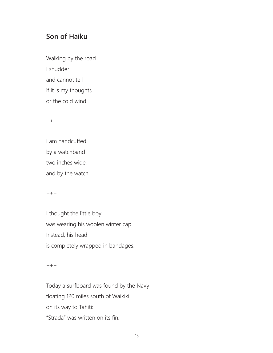### **Son of Haiku**

Walking by the road I shudder and cannot tell if it is my thoughts or the cold wind

 $^{+++}$ 

I am handcuffed by a watchband two inches wide: and by the watch.

 $+++$ 

I thought the little boy was wearing his woolen winter cap. Instead, his head is completely wrapped in bandages.

 $+ + +$ 

Today a surfboard was found by the Navy floating 120 miles south of Waikiki on its way to Tahiti: "Strada" was written on its fin.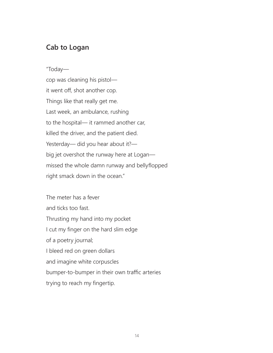#### **Cab to Logan**

"Today—

cop was cleaning his pistol it went off, shot another cop. Things like that really get me. Last week, an ambulance, rushing to the hospital— it rammed another car, killed the driver, and the patient died. Yesterday— did you hear about it? big jet overshot the runway here at Logan missed the whole damn runway and bellyflopped right smack down in the ocean."

The meter has a fever and ticks too fast. Thrusting my hand into my pocket I cut my finger on the hard slim edge of a poetry journal; I bleed red on green dollars and imagine white corpuscles bumper-to-bumper in their own traffic arteries trying to reach my fingertip.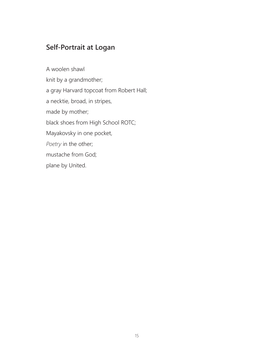# **Self-Portrait at Logan**

A woolen shawl knit by a grandmother; a gray Harvard topcoat from Robert Hall; a necktie, broad, in stripes, made by mother; black shoes from High School ROTC; Mayakovsky in one pocket, *Poetry* in the other; mustache from God; plane by United.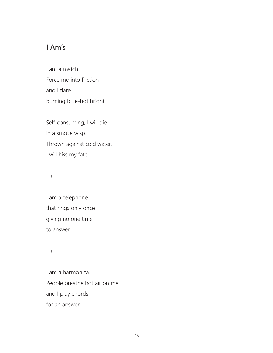# **I Am's**

I am a match. Force me into friction and I flare, burning blue-hot bright.

Self-consuming, I will die in a smoke wisp. Thrown against cold water, I will hiss my fate.

#### $^{+++}$

I am a telephone that rings only once giving no one time to answer

 $^{+++}$ 

I am a harmonica. People breathe hot air on me and I play chords for an answer.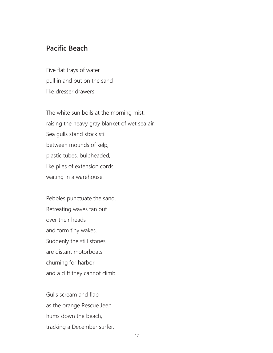#### **Pacific Beach**

Five flat trays of water pull in and out on the sand like dresser drawers.

The white sun boils at the morning mist, raising the heavy gray blanket of wet sea air. Sea gulls stand stock still between mounds of kelp, plastic tubes, bulbheaded, like piles of extension cords waiting in a warehouse.

Pebbles punctuate the sand. Retreating waves fan out over their heads and form tiny wakes. Suddenly the still stones are distant motorboats churning for harbor and a cliff they cannot climb.

Gulls scream and flap as the orange Rescue Jeep hums down the beach, tracking a December surfer.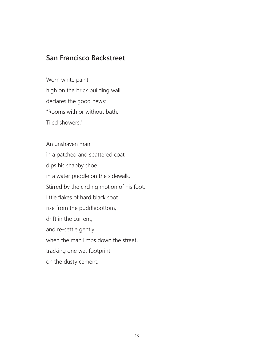# **San Francisco Backstreet**

Worn white paint high on the brick building wall declares the good news: "Rooms with or without bath. Tiled showers."

An unshaven man in a patched and spattered coat dips his shabby shoe in a water puddle on the sidewalk. Stirred by the circling motion of his foot, little flakes of hard black soot rise from the puddlebottom, drift in the current, and re-settle gently when the man limps down the street, tracking one wet footprint on the dusty cement.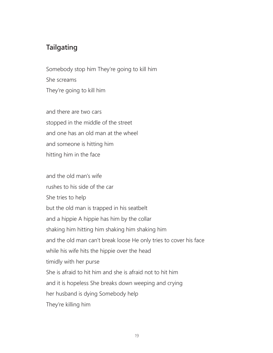# **Tailgating**

Somebody stop him They're going to kill him She screams They're going to kill him

and there are two cars stopped in the middle of the street and one has an old man at the wheel and someone is hitting him hitting him in the face

and the old man's wife rushes to his side of the car She tries to help but the old man is trapped in his seatbelt and a hippie A hippie has him by the collar shaking him hitting him shaking him shaking him and the old man can't break loose He only tries to cover his face while his wife hits the hippie over the head timidly with her purse She is afraid to hit him and she is afraid not to hit him and it is hopeless She breaks down weeping and crying her husband is dying Somebody help They're killing him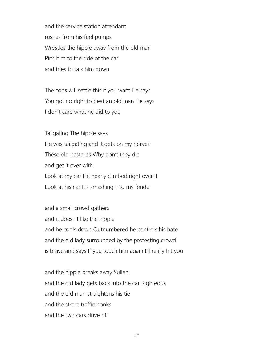and the service station attendant rushes from his fuel pumps Wrestles the hippie away from the old man Pins him to the side of the car and tries to talk him down

The cops will settle this if you want He says You got no right to beat an old man He says I don't care what he did to you

Tailgating The hippie says He was tailgating and it gets on my nerves These old bastards Why don't they die and get it over with Look at my car He nearly climbed right over it Look at his car It's smashing into my fender

and a small crowd gathers and it doesn't like the hippie and he cools down Outnumbered he controls his hate and the old lady surrounded by the protecting crowd is brave and says If you touch him again I'll really hit you

and the hippie breaks away Sullen and the old lady gets back into the car Righteous and the old man straightens his tie and the street traffic honks and the two cars drive off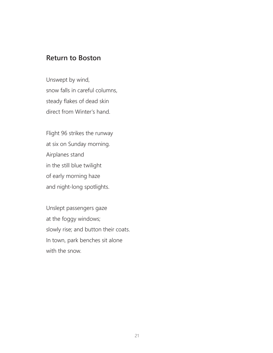## **Return to Boston**

Unswept by wind, snow falls in careful columns, steady flakes of dead skin direct from Winter's hand.

Flight 96 strikes the runway at six on Sunday morning. Airplanes stand in the still blue twilight of early morning haze and night-long spotlights.

Unslept passengers gaze at the foggy windows; slowly rise; and button their coats. In town, park benches sit alone with the snow.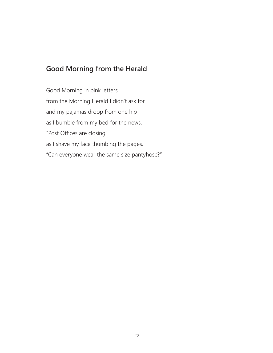# **Good Morning from the Herald**

Good Morning in pink letters from the Morning Herald I didn't ask for and my pajamas droop from one hip as I bumble from my bed for the news. "Post Offices are closing" as I shave my face thumbing the pages. "Can everyone wear the same size pantyhose?"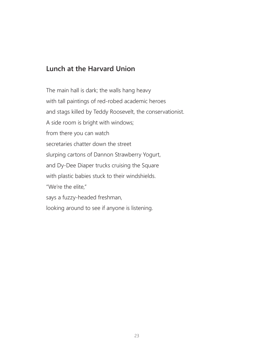# **Lunch at the Harvard Union**

The main hall is dark; the walls hang heavy with tall paintings of red-robed academic heroes and stags killed by Teddy Roosevelt, the conservationist. A side room is bright with windows; from there you can watch secretaries chatter down the street slurping cartons of Dannon Strawberry Yogurt, and Dy-Dee Diaper trucks cruising the Square with plastic babies stuck to their windshields. "We're the elite," says a fuzzy-headed freshman, looking around to see if anyone is listening.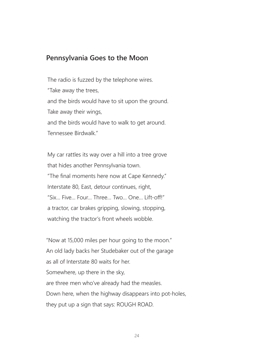#### **Pennsylvania Goes to the Moon**

The radio is fuzzed by the telephone wires. "Take away the trees, and the birds would have to sit upon the ground. Take away their wings, and the birds would have to walk to get around. Tennessee Birdwalk."

My car rattles its way over a hill into a tree grove that hides another Pennsylvania town. "The final moments here now at Cape Kennedy." Interstate 80, East, detour continues, right, "Six… Five… Four… Three… Two… One… Lift-off!" a tractor, car brakes gripping, slowing, stopping, watching the tractor's front wheels wobble.

"Now at 15,000 miles per hour going to the moon." An old lady backs her Studebaker out of the garage as all of Interstate 80 waits for her. Somewhere, up there in the sky, are three men who've already had the measles. Down here, when the highway disappears into pot-holes, they put up a sign that says: ROUGH ROAD.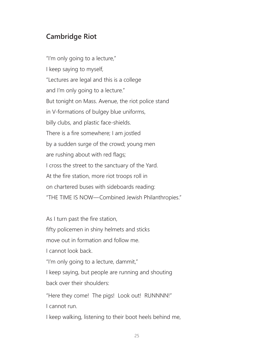# **Cambridge Riot**

"I'm only going to a lecture," I keep saying to myself, "Lectures are legal and this is a college and I'm only going to a lecture." But tonight on Mass. Avenue, the riot police stand in V-formations of bulgey blue uniforms, billy clubs, and plastic face-shields. There is a fire somewhere; I am jostled by a sudden surge of the crowd; young men are rushing about with red flags; I cross the street to the sanctuary of the Yard. At the fire station, more riot troops roll in on chartered buses with sideboards reading: "THE TIME IS NOW—Combined Jewish Philanthropies."

As I turn past the fire station,

fifty policemen in shiny helmets and sticks

move out in formation and follow me.

I cannot look back.

"I'm only going to a lecture, dammit,"

I keep saying, but people are running and shouting back over their shoulders:

"Here they come! The pigs! Look out! RUNNNN!" I cannot run.

I keep walking, listening to their boot heels behind me,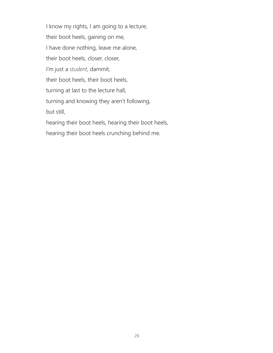I know my rights, I am going to a lecture, their boot heels, gaining on me, I have done nothing, leave me alone, their boot heels, closer, closer, I'm just a *student,* dammit, their boot heels, their boot heels, turning at last to the lecture hall, turning and knowing they aren't following, but still, hearing their boot heels, hearing their boot heels, hearing their boot heels crunching behind me.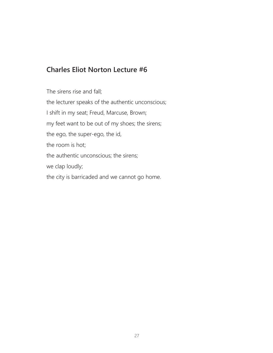# **Charles Eliot Norton Lecture #6**

The sirens rise and fall; the lecturer speaks of the authentic unconscious; I shift in my seat; Freud, Marcuse, Brown; my feet want to be out of my shoes; the sirens; the ego, the super-ego, the id, the room is hot; the authentic unconscious; the sirens; we clap loudly; the city is barricaded and we cannot go home.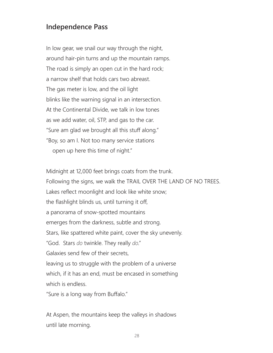### **Independence Pass**

In low gear, we snail our way through the night, around hair-pin turns and up the mountain ramps. The road is simply an open cut in the hard rock; a narrow shelf that holds cars two abreast. The gas meter is low, and the oil light blinks like the warning signal in an intersection. At the Continental Divide, we talk in low tones as we add water, oil, STP, and gas to the car. "Sure am glad we brought all this stuff along." "Boy, so am I. Not too many service stations open up here this time of night."

Midnight at 12,000 feet brings coats from the trunk. Following the signs, we walk the TRAIL OVER THE LAND OF NO TREES. Lakes reflect moonlight and look like white snow; the flashlight blinds us, until turning it off, a panorama of snow-spotted mountains emerges from the darkness, subtle and strong. Stars, like spattered white paint, cover the sky unevenly. "God. Stars *do* twinkle. They really *do*." Galaxies send few of their secrets, leaving us to struggle with the problem of a universe which, if it has an end, must be encased in something which is endless. "Sure is a long way from Buffalo."

At Aspen, the mountains keep the valleys in shadows until late morning.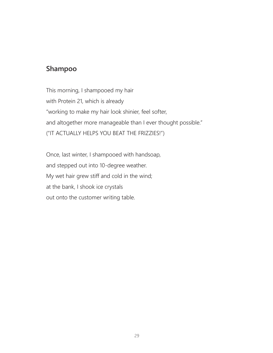#### **Shampoo**

This morning, I shampooed my hair with Protein 21, which is already "working to make my hair look shinier, feel softer, and altogether more manageable than I ever thought possible." ("IT ACTUALLY HELPS YOU BEAT THE FRIZZIES!")

Once, last winter, I shampooed with handsoap, and stepped out into 10-degree weather. My wet hair grew stiff and cold in the wind; at the bank, I shook ice crystals out onto the customer writing table.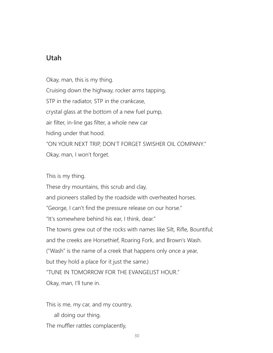# **Utah**

Okay, man, this is my thing. Cruising down the highway, rocker arms tapping, STP in the radiator, STP in the crankcase, crystal glass at the bottom of a new fuel pump, air filter, in-line gas filter, a whole new car hiding under that hood. "ON YOUR NEXT TRIP, DON'T FORGET SWISHER OIL COMPANY." Okay, man, I won't forget.

This is my thing.

These dry mountains, this scrub and clay,

and pioneers stalled by the roadside with overheated horses.

"George, I can't find the pressure release on our horse."

"It's somewhere behind his ear, I think, dear."

The towns grew out of the rocks with names like Silt, Rifle, Bountiful;

and the creeks are Horsethief, Roaring Fork, and Brown's Wash.

("Wash" is the name of a creek that happens only once a year,

but they hold a place for it just the same.)

"TUNE IN TOMORROW FOR THE EVANGELIST HOUR."

Okay, man, I'll tune in.

This is me, my car, and my country,

all doing our thing.

The muffler rattles complacently,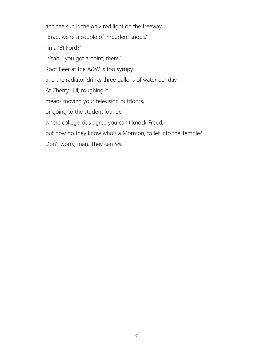and the sun is the only red light on the freeway.

"Brad, we're a couple of impudent snobs."

"In a '61 Ford?"

"Yeah… you got a point, there."

Root Beer at the A&W is too syrupy,

and the radiator drinks three gallons of water per day.

At Cherry Hill, roughing it

means moving your television outdoors,

or going to the student lounge

where college kids agree you can't knock Freud,

but how do they know who's a Mormon, to let into the Temple?

Don't worry, man. They can *tell.*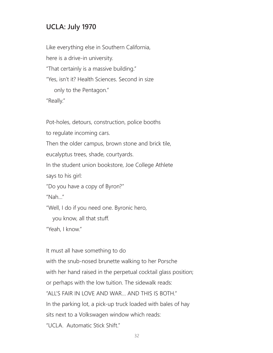# **UCLA: July 1970**

Like everything else in Southern California, here is a drive-in university. "That certainly is a massive building." "Yes, isn't it? Health Sciences. Second in size only to the Pentagon." "Really."

Pot-holes, detours, construction, police booths

to regulate incoming cars.

Then the older campus, brown stone and brick tile,

eucalyptus trees, shade, courtyards.

In the student union bookstore, Joe College Athlete

says to his girl:

"Do you have a copy of Byron?"

"Nah…"

"Well, I do if you need one. Byronic hero,

you know, all that stuff.

"Yeah, I know."

It must all have something to do

with the snub-nosed brunette walking to her Porsche with her hand raised in the perpetual cocktail glass position; or perhaps with the low tuition. The sidewalk reads: "ALL'S FAIR IN LOVE AND WAR… AND THIS IS BOTH." In the parking lot, a pick-up truck loaded with bales of hay sits next to a Volkswagen window which reads: "UCLA. Automatic Stick Shift."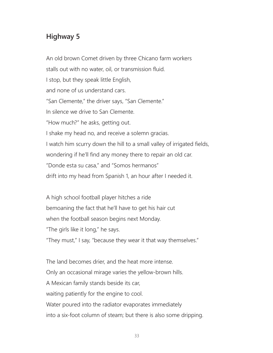# **Highway 5**

An old brown Comet driven by three Chicano farm workers stalls out with no water, oil, or transmission fluid. I stop, but they speak little English, and none of us understand cars. "San Clemente," the driver says, "San Clemente." In silence we drive to San Clemente. "How much?" he asks, getting out. I shake my head no, and receive a solemn gracias. I watch him scurry down the hill to a small valley of irrigated fields, wondering if he'll find any money there to repair an old car. "Donde esta su casa," and "Somos hermanos" drift into my head from Spanish 1, an hour after I needed it.

A high school football player hitches a ride bemoaning the fact that he'll have to get his hair cut when the football season begins next Monday. "The girls like it long," he says. "They must," I say, "because they wear it that way themselves."

The land becomes drier, and the heat more intense. Only an occasional mirage varies the yellow-brown hills. A Mexican family stands beside its car, waiting patiently for the engine to cool. Water poured into the radiator evaporates immediately into a six-foot column of steam; but there is also some dripping.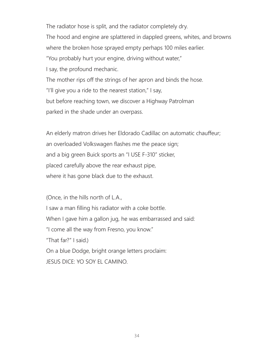The radiator hose is split, and the radiator completely dry. The hood and engine are splattered in dappled greens, whites, and browns where the broken hose sprayed empty perhaps 100 miles earlier. "You probably hurt your engine, driving without water," I say, the profound mechanic. The mother rips off the strings of her apron and binds the hose. "I'll give you a ride to the nearest station," I say, but before reaching town, we discover a Highway Patrolman parked in the shade under an overpass.

An elderly matron drives her Eldorado Cadillac on automatic chauffeur; an overloaded Volkswagen flashes me the peace sign; and a big green Buick sports an "I USE F-310" sticker, placed carefully above the rear exhaust pipe, where it has gone black due to the exhaust.

(Once, in the hills north of L.A.,

I saw a man filling his radiator with a coke bottle.

When I gave him a gallon jug, he was embarrassed and said:

"I come all the way from Fresno, you know."

"That far?" I said.)

On a blue Dodge, bright orange letters proclaim:

JESUS DICE: YO SOY EL CAMINO.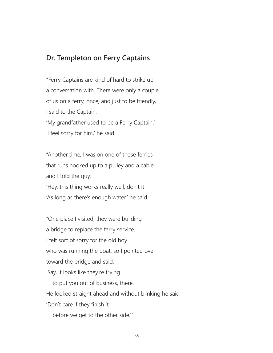#### **Dr. Templeton on Ferry Captains**

"Ferry Captains are kind of hard to strike up a conversation with. There were only a couple of us on a ferry, once, and just to be friendly, I said to the Captain: 'My grandfather used to be a Ferry Captain.' 'I feel sorry for him,' he said.

"Another time, I was on one of those ferries that runs hooked up to a pulley and a cable, and I told the guy: 'Hey, this thing works really well, don't it.' 'As long as there's enough water,' he said.

"One place I visited, they were building a bridge to replace the ferry service. I felt sort of sorry for the old boy who was running the boat, so I pointed over toward the bridge and said: 'Say, it looks like they're trying to put you out of business, there.' He looked straight ahead and without blinking he said: 'Don't care if they finish it before we get to the other side.'"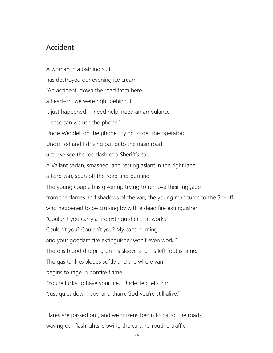# **Accident**

A woman in a bathing suit has destroyed our evening ice cream: "An accident, down the road from here, a head-on, we were right behind it, it just happened— need help, need an ambulance, please can we use the phone." Uncle Wendell on the phone, trying to get the operator; Uncle Ted and I driving out onto the main road until we see the red flash of a Sheriff's car. A Valiant sedan, smashed, and resting aslant in the right lane; a Ford van, spun off the road and burning. The young couple has given up trying to remove their luggage from the flames and shadows of the van; the young man turns to the Sheriff who happened to be cruising by with a dead fire extinguisher: "Couldn't you carry a fire extinguisher that works? Couldn't you? Couldn't you? My car's burning and your goddam fire extinguisher won't even work!" There is blood dripping on his sleeve and his left foot is lame. The gas tank explodes softly and the whole van begins to rage in bonfire flame. "You're lucky to have your life," Uncle Ted tells him. "Just quiet down, boy, and thank God you're still alive."

Flares are passed out, and we citizens begin to patrol the roads, waving our flashlights, slowing the cars, re-routing traffic.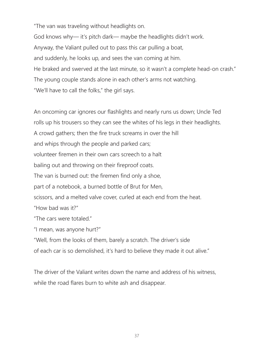"The van was traveling without headlights on.

God knows why— it's pitch dark— maybe the headlights didn't work. Anyway, the Valiant pulled out to pass this car pulling a boat, and suddenly, he looks up, and sees the van coming at him. He braked and swerved at the last minute, so it wasn't a complete head-on crash." The young couple stands alone in each other's arms not watching. "We'll have to call the folks," the girl says.

An oncoming car ignores our flashlights and nearly runs us down; Uncle Ted rolls up his trousers so they can see the whites of his legs in their headlights. A crowd gathers; then the fire truck screams in over the hill and whips through the people and parked cars; volunteer firemen in their own cars screech to a halt bailing out and throwing on their fireproof coats. The van is burned out: the firemen find only a shoe, part of a notebook, a burned bottle of Brut for Men, scissors, and a melted valve cover, curled at each end from the heat. "How bad was it?" "The cars were totaled." "I mean, was anyone hurt?"

"Well, from the looks of them, barely a scratch. The driver's side

of each car is so demolished, it's hard to believe they made it out alive."

The driver of the Valiant writes down the name and address of his witness, while the road flares burn to white ash and disappear.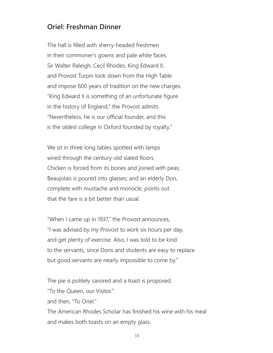#### **Oriel: Freshman Dinner**

The hall is filled with sherry-headed freshmen in their commoner's gowns and pale white faces. Sir Walter Raleigh, Cecil Rhodes, King Edward II, and Provost Turpin look down from the High Table and impose 600 years of tradition on the new charges. "King Edward II is something of an unfortunate figure in the history of England," the Provost admits. "Nevertheless, he is our official founder, and this is the oldest college in Oxford founded by royalty."

We sit in three long tables spotted with lamps wired through the century-old slated floors. Chicken is forced from its bones and joined with peas; Beaujolais is poured into glasses; and an elderly Don, complete with mustache and monocle, points out that the fare is a bit better than usual.

"When I came up in 1937," the Provost announces, "I was advised by my Provost to work six hours per day, and get plenty of exercise. Also, I was told to be kind to the servants, since Dons and students are easy to replace but good servants are nearly impossible to come by."

The pie is politely savored and a toast is proposed. "To the Queen, our Visitor." and then, "To Oriel." The American Rhodes Scholar has finished his wine with his meal and makes both toasts on an empty glass.